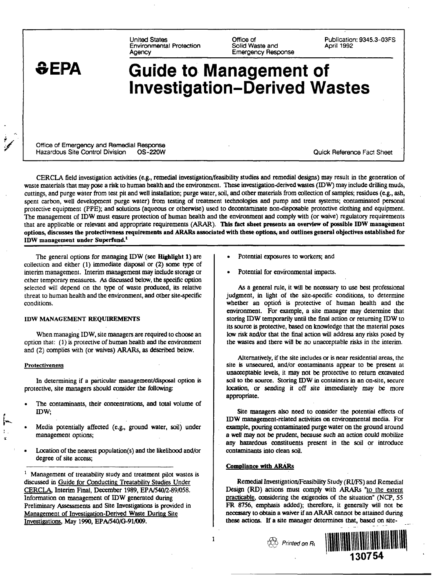United States Environmental Protection **Agency** 

Office of Solid Waste and Emergency Response Publication: 9345.3-03FS April 1992

# **SEPA**

# Guide to Management of Investigation-Derived Wastes

Office of Emergency and Remedial Response Hazardous Site Control Division OS-220W Quick Reference Fact Sheet

CERCLA field investigation activities (e.g., remedial investigation/feasibility studies and remedial designs) may result in the generation of waste materials that may pose a risk to human health and the environment. These investigation-derived wastes (IDW) may include drilling muds, cuttings, and purge water from test pit and well installation; purge water, soil, and other materials from collection of samples; residues (e.g., ash, spent carbon, well development purge water) from testing of treatment technologies and pump and treat systems; contaminated personal protective equipment (PPE); and solutions (aqueous or otherwise) used to decontaminate non-disposable protective clothing and equipment. The management of IDW must ensure protection of human health and the environment and comply with (or waive) regulatory requirements that are applicable or relevant and appropriate requirements (ARAR). This fact sheet presents an overview of possible IDW management options, discusses the protectiveness requirements and ARARs associated with these options, and outlines general objectives established for IDW management under Superfund.<sup>1</sup>

The general options for managing IDW (see Highlight 1) are collection and either (1) immediate disposal or (2) some type of interim management. Interim management may include storage or other temporary measures. As discussed below, the specific option selected will depend on the type of waste produced, its relative threat to human health and the environment, and other site-specific conditions.

#### IDW MANAGEMENT REQUIREMENTS

When managing IDW, site managers are required to choose an option that: (1) is protective of human health and the environment and (2) complies with (or waives) ARARs, as described below.

#### **Protectiveness**

In determining if a particular management/disposal option is protective, site managers should consider the following:

- The contaminants, their concentrations, and total volume of IDW;
- Media potentially affected (e.g., ground water, soil) under management options;
- Location of the nearest population(s) and the likelihood and/or degree of site access;

<sup>1</sup> Management of treatability study and treatment pilot wastes is discussed in Guide for Conducting Treatability Studies Under CERCLA. Interim Final, December 1989, EPA/540/2-89/058. Information on management of IDW generated during Preliminary Assessments and Site Investigations is provided in Management of Investigation-Derived Waste During Site Investigations. May 1990, EPA/540/G-91/009.

- Potential exposures to workers; and
- Potential for environmental impacts.

As a general rule, it will be necessary to use best professional judgment, in light of the site-specific conditions, to determine whether an option is protective of human health and the environment. For example, a site manager may determine that storing IDW temporarily until the final action or returning IDW to its source is protective, based on knowledge that the material poses low risk and/or that the final action will address any risks posed by the wastes and there will be no unacceptable risks in the interim.

Alternatively, if the site includes or is near residential areas, the site is unsecured, and/or contaminants appear to be present at unacceptable levels, it may not be protective to return excavated soil to the source. Storing IDW in containers in an on-site, secure location, or sending it off site immediately may be more appropriate.

Site managers also need to consider the potential effects of IDW management-related activities on environmental media. For example, pouring contaminated purge water on the ground around a well may not be prudent, because such an action could mobilize any hazardous constituents present in the soil or introduce contaminants into clean soil.

#### Compliance with ARARs

Remedial Investigation/Feasibility Study (RI/FS) and Remedial Design (RD) actions must comply with ARARs "to the extent practicable, considering the exigencies of the situation" (NCP, 55 FR 8756, emphasis added); therefore, it generally will not be necessary to obtain a waiver if an ARAR cannot be attained during these actions. If a site manager determines that, based on site-



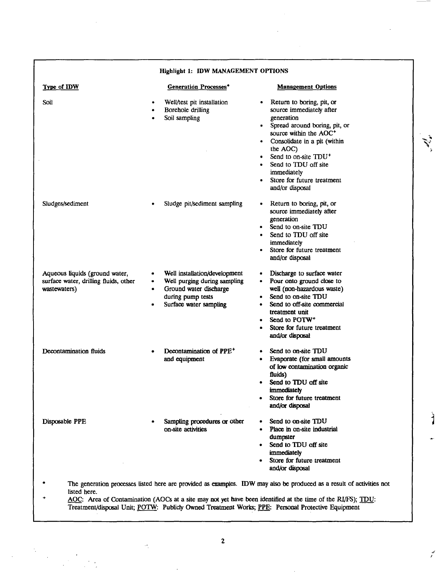| Highlight 1: IDW MANAGEMENT OPTIONS                                                                                                                                                                                                                                                                                                                            |                                                                                                                                        |                                                                                                                                                                                                                                                                                                                                              |
|----------------------------------------------------------------------------------------------------------------------------------------------------------------------------------------------------------------------------------------------------------------------------------------------------------------------------------------------------------------|----------------------------------------------------------------------------------------------------------------------------------------|----------------------------------------------------------------------------------------------------------------------------------------------------------------------------------------------------------------------------------------------------------------------------------------------------------------------------------------------|
| <b>Type of IDW</b>                                                                                                                                                                                                                                                                                                                                             | <b>Generation Processes*</b>                                                                                                           | <b>Management Options</b>                                                                                                                                                                                                                                                                                                                    |
| Soil                                                                                                                                                                                                                                                                                                                                                           | Well/test pit installation<br>Borehole drilling<br>Soil sampling                                                                       | Return to boring, pit, or<br>$\bullet$<br>source immediately after<br>generation<br>Spread around boring, pit, or<br>$\bullet$<br>source within the AOC <sup>+</sup><br>Consolidate in a pit (within<br>the AOC)<br>Send to on-site TDU <sup>+</sup><br>Send to TDU off site<br>immediately<br>Store for future treatment<br>and/or disposal |
| Sludges/sediment                                                                                                                                                                                                                                                                                                                                               | Sludge pit/sediment sampling                                                                                                           | Return to boring, pit, or<br>$\bullet$<br>source immediately after<br>generation<br>Send to on-site TDU<br>$\bullet$<br>Send to TDU off site<br>immediately<br>Store for future treatment<br>and/or disposal                                                                                                                                 |
| Aqueous liquids (ground water,<br>surface water, drilling fluids, other<br>wastewaters)                                                                                                                                                                                                                                                                        | Well installation/development<br>Well purging during sampling<br>Ground water discharge<br>during pump tests<br>Surface water sampling | Discharge to surface water<br>Pour onto ground close to<br>well (non-hazardous waste)<br>Send to on-site TDU<br>$\bullet$<br>Send to off-site commercial<br>treatment unit<br>Send to POTW <sup>+</sup><br>Store for future treatment<br>$\bullet$<br>and/or disposal                                                                        |
| Decontamination fluids                                                                                                                                                                                                                                                                                                                                         | Decontamination of PPE <sup>+</sup><br>and equipment                                                                                   | Send to on-site TDU<br>$\bullet$<br>Evaporate (for small amounts<br>٠<br>of low contamination organic<br>fluids)<br>Send to TDU off site<br>immediately<br>Store for future treatment<br>٠<br>and/or disposal                                                                                                                                |
| Disposable PPE                                                                                                                                                                                                                                                                                                                                                 | Sampling procedures or other<br>on-site activities                                                                                     | Send to on-site TDU<br>Place in on-site industrial<br>dumpster<br>Send to TDU off site<br>٠<br>immediately<br>Store for future treatment<br>and/or disposal                                                                                                                                                                                  |
| The generation processes listed here are provided as examples. IDW may also be produced as a result of activities not<br>listed here.<br>۰<br>AOC: Area of Contamination (AOCs at a site may not yet have been identified at the time of the RI/FS); TDU:<br>Treatment/disposal Unit; POTW: Publicly Owned Treatment Works; PPE: Personal Protective Equipment |                                                                                                                                        |                                                                                                                                                                                                                                                                                                                                              |

 $\mathbf{r}$ 

ن<br>م

 $\overline{2}$ 

 $\hat{\boldsymbol{\cdot}^{\prime}}$ 

 $\ast$ 

 $\frac{1}{2}$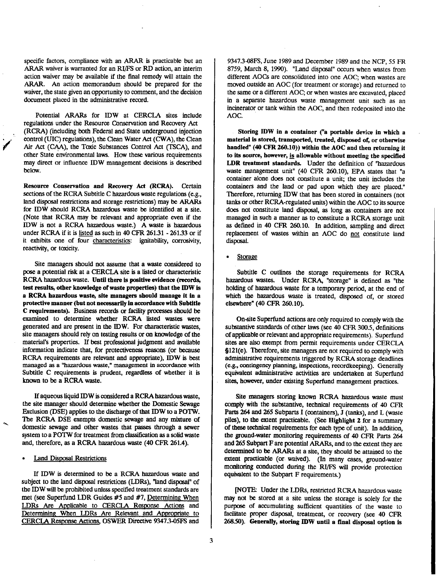specific factors, compliance with an ARAR is practicable but an ARAR waiver is warranted for an RI/FS or RD action, an interim action waiver may be available if the final remedy will attain the ARAR. An action memorandum should be prepared for the waiver, the state given an opportunity to comment, and the decision document placed in the administrative record.

Potential ARARs for IDW at CERCLA sites include regulations under the Resource Conservation and Recovery Act (RCRA) (including both Federal and State underground injection control (UIG) regulations), the Clean Water Act (CWA), the Clean Air Act (CAA), the Toxic Substances Control Act (TSCA), and other State environmental laws. How these various requirements may direct or influence IDW management decisions is described below.

Resource Conservation and Recovery Act (RCRA). Certain sections of the RCRA Subtitle C hazardous waste regulations (e.g., land disposal restrictions and storage restrictions) may be ARARs for IDW should RCRA hazardous waste be identified at a site. (Note that RCRA may be relevant and appropriate even if the IDW is not a RCRA hazardous waste.) A waste is hazardous under RCRA if it is listed as such in 40 CFR 261.31 - 261.33 or if it exhibits one of four characteristics: ignitability, corrosivity, reactivity, or toxicity.

Site managers should not assume that a waste considered to pose a potential risk at a CERCLA site is a listed or characteristic RCRA hazardous waste. Until there is positive evidence (records, test results, other knowledge of waste properties) that the IDW is a RCRA hazardous waste, site managers should manage it in a protective manner (but not necessarily in accordance with Subtitle C requirements). Business records or facility processes should be examined to determine whether RCRA listed wastes were generated and are present in the IDW. For characteristic wastes, site managers should rely on testing results or on knowledge of the material's properties. If best professional judgment and available information indicate that, for protectiveness reasons (or because RCRA requirements are relevant and appropriate), IDW is best managed as a "hazardous waste," management in accordance with Subtitle C requirements is prudent, regardless of whether it is known to be a RCRA waste.

If aqueous liquid IDW is considered a RCRA hazardous waste, the site manager should determine whether the Domestic Sewage Exclusion (DSE) applies to the discharge of that IDW to a POTW. The RCRA DSE exempts domestic sewage and any mixture of domestic sewage and other wastes that passes through a sewer system to a POTW for treatment from classification as a solid waste and, therefore, as a RCRA hazardous waste (40 CFR 261.4).

**Land Disposal Restrictions** 

If IDW is determined to be a RCRA hazardous waste and subject to the land disposal restrictions (LDRs), "land disposal" of the IDW will be prohibited unless specified treatment standards are met (see Superfund LDR Guides #5 and #7, Determining When LDRs Are Applicable to CERCLA Response Actions and Determining When LDRs Are Relevant and Appropriate to CERCLA Response Actions. OSWER Directive 93473-05FS and

93473-08FS, June 1989 and December 1989 and the NCP, 55 FR 8759, March 8, 1990). "Land disposal" occurs when wastes from different AOCs are consolidated into one AOC; when wastes are moved outside an AOC (for treatment or storage) and returned to the same or a different AOC; or when wastes are excavated, placed in a separate hazardous waste management unit such as an incinerator or tank within the AOC, and then redeposited into the AOC.

Storing IDW in a container ("a portable device in which a material is stored, transported, treated, disposed of, or otherwise handled" (40 CFR 260.10)) within the AOC and then returning it to its source, however, is allowable without meeting the specified LDR treatment standards. Under the definition of "hazardous waste management unit" (40 CFR 260.10), EPA states that "a container alone does not constitute a unit; the unit includes the containers and the land or pad upon which they are placed." Therefore, returning IDW that has been stored in containers (not tanks or other RCRA-reguIated units) within the AOC to its source does not constitute land disposal, as long as containers are not managed in such a manner as to constitute a RCRA storage unit as defined in 40 CFR 260.10. In addition, sampling and direct replacement of wastes within an AOC do not constitute land disposal.

Storage

Subtitle C outlines the storage requirements for RCRA hazardous wastes. Under RCRA, "storage" is defined as "the holding of hazardous waste for a temporary period, at the end of which the hazardous waste is treated, disposed of, or stored elsewhere" (40 CFR 260.10).

On-site Superfund actions are only required to comply with the substantive standards of other laws (see 40 CFR 300.5, definitions of applicable or relevant and appropriate requirements). Superfund sites are also exempt from permit requirements under CERCLA §121(e). Therefore, site managers are not required to comply with administrative requirements triggered by RCRA storage deadlines (e.g., contingency planning, inspections, recordkeeping). Generally equivalent administrative activities are undertaken at Superfund sites, however, under existing Superfund management practices.

Site managers storing known RCRA hazardous waste must comply with the substantive, technical requirements of 40 CFR Parts 264 and 265 Subparts I (containers), J (tanks), and L (waste piles), to the extent practicable. (See Highlight 2 for a summary of these technical requirements for each type of unit). In addition, the ground-water monitoring requirements of 40 CFR Parts 264 and 265 Subpart F are potential ARARs, and to the extent they are determined to be ARARs at a site, they should be attained to the extent practicable (or waived). (In many cases, ground-water monitoring conducted during the RI/FS will provide protection equivalent to the Subpart F requirements.)

[NOTE: Under the LDRs, restricted RCRA hazardous waste may not be stored at a site unless the storage is solely for the purpose of accumulating sufficient quantities of the waste to facilitate proper disposal, treatment, or recovery (see 40 CFR 26850). Generally, storing IDW until a final disposal option is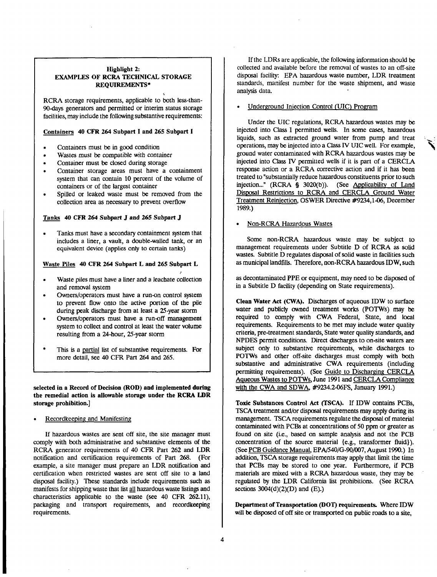## Highlight 2: EXAMPLES OF RCRA TECHNICAL STORAGE REQUIREMENTS\*

RCRA storage requirements, applicable to both less-than-90-days generators and permitted or interim status storage facilities, may include the following substantive requirements:

## Containers 40 CFR 264 Subpart I and 265 Subpart I

- Containers must be in good condition
- Wastes must be compatible with container
- Container must be closed during storage
- Container storage areas must have a containment system that can contain 10 percent of the volume of containers or of the largest container
- Spilled or leaked waste must be removed from the collection area as necessary to prevent overflow

#### Tanks 40 CFR 264 Subpart J and 265 Subpart J

• Tanks must have a secondary containment system that includes a liner, a vault, a double-walled tank, or an equivalent device (applies only to certain tanks)

### Waste Piles 40 CFR 264 Subpart L and 265 Subpart L

- Waste piles must have a liner and a leachate collection and removal system
- Owners/operators must have a run-on control system to prevent flow onto the active portion of the pile during peak discharge from at least a 25-year storm
- Owners/operators must have a run-off management system to collect and control at least the water volume resulting from a 24-hour, 25-year storm
- This is a partial list of substantive requirements. For more detail, see 40 CFR Part 264 and 265.

selected in a Record of Decision (ROD) and implemented during the remedial action is allowable storage under the RCRA LDR storage prohibition.]

## • Recordkeeping and Manifesting

If hazardous wastes are sent off site, the site manager must comply with both administrative and substantive elements of the RCRA generator requirements of 40 CFR Part 262 and LDR notification and certification requirements of Part 268. (For example, a site manager must prepare an LDR notification and certification when restricted wastes are sent off site to a land disposal facility.) These standards include requirements such as manifests for shipping waste that list all hazardous waste listings and characteristics applicable to the waste (see 40 CFR 262.11), packaging and transport requirements, and recordkeeping requirements.

If the LDRs are applicable, the following information should be collected and available before the removal of wastes to an off-site disposal facility: EPA hazardous waste number, LDR treatment standards, manifest number for the waste shipment, and waste analysis data.

## • Underground Injection Control (UIC) Program

Under the UIC regulations, RCRA hazardous wastes may be injected into Class I permitted wells. In some cases, hazardous liquids, such as extracted ground water from pump and treat operations, may be injected into a Class TV UIC well. For example, ground water contaminated with RCRA hazardous wastes may be injected into Class IV permitted wells if it is part of a CERCLA response action or a RCRA corrective action and if it has been treated to "substantially reduce hazardous constituents prior to such injection..." (RCRA § 3020(b)). (See Applicability of Land Disposal Restrictions to RCRA and CERCLA Ground Water Treatment Reinjection. OSWER Directive #9234,1-06, December 1989.)

## • Non-RCRA Hazardous Wastes

Some non-RCRA hazardous waste may be subject to management requirements under Subtitle D of RCRA as solid wastes. Subtitle D regulates disposal of solid waste in facilities such as municipal landfills. Therefore, non-RCRA hazardous IDW, such

as decontaminated PPE or equipment, may need to be disposed of in a Subtitle D facility (depending on State requirements).

Clean Water Act (CWA). Discharges of aqueous IDW to surface water and publicly owned treatment works (POTWs) may be required to comply with CWA Federal, State, and local requirements. Requirements to be met may include water quality criteria, pre-treatment standards, State water quality standards, and NPDES permit conditions. Direct discharges to on-site waters are subject only to substantive requirements, while discharges to POTWs and other off-site discharges must comply with both substantive and administrative CWA requirements (including permitting requirements). (See Guide to Discharging CERCLA Aqueous Wastes to POTWs. June 1991 and CERCLA Compliance with the CWA and SDWA. #9234.2-06FS, January 1991.)

Toxic Substances Control Act (TSCA). If IDW contains PCBs, TSCA treatment and/or disposal requirements may apply during its management. TSCA requirements regulate the disposal of material contaminated with PCBs at concentrations of 50 ppm or greater as found on site (i.e., based on sample analysis and not the PCB concentration of the source material {e.g., transformer fluid}). (See PCB Guidance Manual. EPA/540/G-90/007, August 1990.) In addition, TSCA storage requirements may apply that limit the time that PCBs may be stored to one year. Furthermore, if PCB materials are mixed with a RCRA hazardous waste, they may be regulated by the LDR California list prohibitions. (See RCRA sections  $3004(d)(2)(D)$  and  $(E)$ .)

Department of Transportation (DOT) requirements. Where IDW will be disposed of off site or transported on public roads to a site,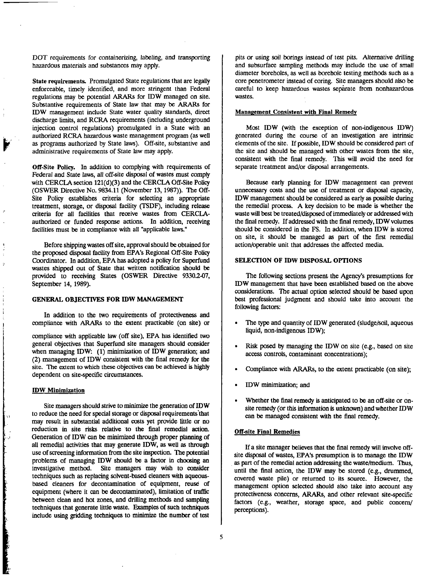DOT requirements for containerizing, labeling, and transporting hazardous materials and substances may apply.

State requirements. Promulgated State regulations that are legally enforceable, timely identified, and more stringent than Federal regulations may be potential ARARs for IDW managed on site. Substantive requirements of State law that may be ARARs for IDW management include State water quality standards, direct discharge limits, and RCRA requirements (including underground injection control regulations) promulgated in a State with an authorized RCRA hazardous waste management program (as well as programs authorized by State laws). Off-site, substantive and administrative requirements of State law may apply.

Off-Site Policy. In addition to complying with requirements of Federal and State laws, all off-site disposal of wastes must comply with CERCLA section 121(d)(3) and the CERCLA Off-Site Policy (OSWER Directive No. 9834.11 (November 13, 1987)). The Off-Site Policy establishes criteria for selecting an appropriate treatment, storage, or disposal facility (TSDF), including release criteria for all facilities that receive wastes from CERCLAauthorized or funded response actions. In addition, receiving facilities must be in compliance with all "applicable laws."

Before shipping wastes off site, approval should be obtained for the proposed disposal facility from EPA's Regional Off-Site Policy Coordinator. In addition, EPA has adopted a policy for Superfund wastes shipped out of State that written notification should be provided to receiving States (OSWER Directive 9330.2-07, September 14, 1989).

#### GENERAL OBJECTIVES FOR IDW MANAGEMENT

In addition to the two requirements of protectiveness and compliance with ARARs to the extent practicable (on site) or

compliance with applicable law (off site), EPA has identified two general objectives that Superfund site managers should consider when managing IDW: (1) minimization of IDW generation; and (2) management of IDW consistent with the final remedy for the site. The extent to which these objectives can be achieved is highly dependent on site-specific circumstances.

## IDW Minimization

**Children Community of Community** 

Site managers should strive to minimize the generation of IDW to reduce the need for special storage or disposal requirements'that may result in substantial additional costs yet provide little or no reduction in site risks relative to the final remedial action. Generation of IDW can be minimized through proper planning of all remedial activities that may generate IDW, as well as through use of screening information from the site inspection. The potential problems of managing IDW should be a factor in choosing an investigative method. Site managers may wish to consider techniques such as replacing solvent-based cleaners with aqueousbased cleaners for decontamination of equipment, reuse of equipment (where it can be decontaminated), limitation of traffic between clean and hot zones, and drilling methods and sampling techniques that generate little waste. Examples of such techniques include using gridding techniques to minimize the number of test

pits or using soil borings instead of test pits. Alternative drilling and subsurface sampling methods may include the use of small diameter boreholes, as well as borehole testing methods such as a core penetrometer instead of coring. Site managers should also be careful to keep hazardous wastes separate from nonhazardous wastes.

#### Management Consistent with Final Remedy

Most IDW (with the exception of non-indigenous IDW) generated during the course of an investigation are intrinsic elements of the site. If possible, IDW should be considered part of the site and should be managed with other wastes from the site, consistent with the final remedy. This will avoid the need for separate treatment and/or disposal arrangements.

Because early planning for IDW management can prevent unnecessary costs and the use of treatment or disposal capacity, IDW management should be considered as early as possible during the remedial process. A key decision to be made is whether the waste will best be treated/disposed of immediately or addressed with the final remedy. If addressed with the final remedy, IDW volumes should be considered in the FS. In addition, when IDW is stored on site, it should be managed as part of the first remedial action/operable unit that addresses the affected media.

#### SELECTION OF IDW DISPOSAL OPTIONS

The following sections present the Agency's presumptions for IDW management that have been established based on the above considerations. The actual option selected should be based upon best professional judgment and should take into account the following factors:

- The type and quantity of IDW generated (sludge/soil, aqueous liquid, non-indigenous IDW);
- Risk posed by managing the IDW on site (e.g., based on site access controls, contaminant concentrations);
- Compliance with ARARs, to the extent practicable (on site);
- IDW minimization; and
- Whether the final remedy is anticipated to be an off-site or onsite remedy (or this information is unknown) and whether IDW can be managed consistent with the final remedy.

#### Off-site Final Remedies

If a site manager believes that the final remedy will involve offsite disposal of wastes, EPA's presumption is to manage the IDW as part of the remedial action addressing the waste/medium. Thus, until the final action, the IDW may be stored (e.g., drummed, covered waste pile) or returned to its source. However, the management option selected should also take into account any protectiveness concerns, ARARs, and other relevant site-specific factors (e.g., weather, storage space, and public concern/ perceptions).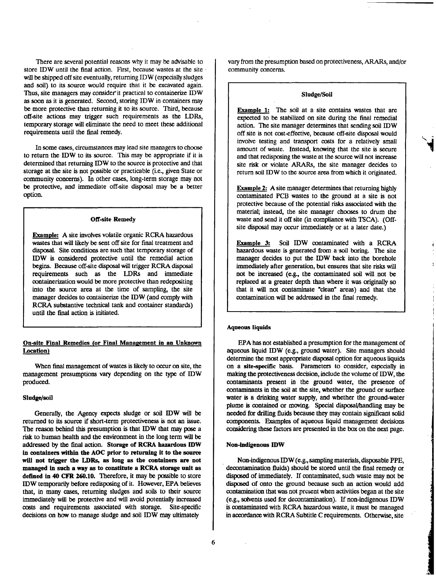There are several potential reasons why it may be advisable to store IDW until the final action. First, because wastes at the site will be shipped off site eventually, returning IDW (especially sludges and soil) to its source would require that it be excavated again. Thus, site managers may consider it practical to containerize IDW as soon as it is generated. Second, storing IDW in containers may be more protective than returning it to its source. Third, because off-site actions may trigger such requirements as the LDRs, temporary storage will eliminate the need to meet these additional requirements until the final remedy.

In some cases, circumstances may lead site managers to choose to return the IDW to its source. This may be appropriate if it is determined that returning IDW to the source is protective and that storage at the site is not possible or practicable (i.e., given State or community concerns). In other cases, long-term storage may not be protective, and immediate off-site disposal may be a better option.

#### Off-site Remedy

Example: A site involves volatile organic RCRA hazardous wastes that will likely be sent off site for final treatment and disposal. Site conditions are such that temporary storage of IDW is considered protective until the remedial action begins. Because off-site disposal will trigger RCRA disposal requirements such as the LDRs and immediate containerization would be more protective than redepositing into the source area at the time of sampling, the site manager decides to containerize the IDW (and comply with RCRA substantive technical tank and container standards) until the final action is initiated.

## On-site Final Remedies for Final Management in an Unknown Location)

When final management of wastes is likely to occur on site, the management presumptions vary depending on the type of IDW produced.

#### Sludge/soil

Generally, the Agency expects sludge or soil IDW will be returned to its source if short-term protectiveness is not an issue. The reason behind this presumption is that IDW that may pose a risk to human health and the environment in the long term will be addressed by the final action. Storage of RCRA hazardous IDW in containers within the AOC prior to returning it to the source will not trigger the LDRs, as long as the containers are not managed in such a way as to constitute a RCRA storage unit as defined in 40 CFR 260.10. Therefore, it may be possible to store IDW temporarily before redisposing of it. However, EPA believes that, in many cases, returning sludges and soils to their source immediately will be protective and will avoid potentially increased costs and requirements associated with storage. Site-specific decisions on how to manage sludge and soil IDW may ultimately

vary from the presumption based on protectiveness, ARARs, and/or community concerns.

#### Sludge/Soil

Example 1; The soil at a site contains wastes that are expected to be stabilized on site during the final remedial action. The site manager determines that sending soil  $\text{IDW}$ off site is not cost-effective, because off-site disposal would involve testing and transport costs for a relatively small amount of waste. Instead, knowing that the site is secure and that redisposing the waste at the source will not increase site risk or violate ARARs, the site manager decides to return soil IDW to the source area from which it originated.

**Example 2:** A site manager determines that returning highly contaminated PCB wastes to the ground at a site is not protective because of the potential risks associated with the material; instead, the site manager chooses to drum the waste and send it off site (in compliance with TSCA). (Offsite disposal may occur immediately or at a later date.)

Example 3: Soil IDW contaminated with a RCRA hazardous waste is generated from a-soil boring. The site manager decides to put the IDW back into the borehole immediately after generation, but ensures that site risks will not be increased (e.g., the contaminated soil will not be replaced at a greater depth than where it was originally so that it will not contaminate "clean" areas) and that the contamination will be addressed in the final remedy.

#### Aqueous liquids

EPA has not established a presumption for the management of aqueous liquid IDW (e.g., ground water). Site managers should determine the most appropriate disposal option for aqueous liquids on a site-specific basis. Parameters to consider, especially in making the protectiveness decision, include the volume of IDW, the contaminants present in the ground water, the presence of contaminants in the soil at the site, whether the ground or surface water is a drinking water supply, and whether the ground-water plume is contained or moving. Special disposal/handling may be needed for drilling fluids because they may contain significant solid components. Examples of aqueous liquid management decisions considering these factors are presented in the box on the next page.

#### Non-indigenous IDW

Non-indigenous IDW (e.g., sampling materials, disposable PPE, decontamination fluids) should be stored until the final remedy or disposed of immediately. If contaminated, such waste may not be disposed of onto the ground because such an action would add contamination that was not present when activities began at the site (e.g., solvents used for decontamination). If non-indigenous IDW is contaminated with RCRA hazardous waste, it must be managed in accordance with RCRA Subtitle C requirements. Otherwise, site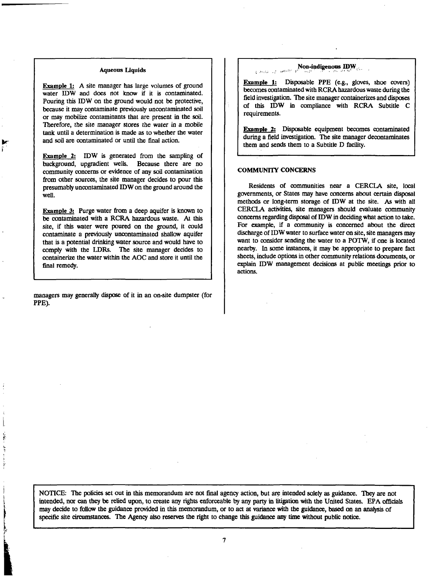#### Aqueous Liquids

Example 1: A site manager has large volumes of ground water IDW and does not know if it is contaminated. Pouring this IDW on the ground would not be protective, because it may contaminate previously uncontaminated soil or may mobilize contaminants that are present in the soil. Therefore, the site manager stores the water in a mobile tank until a determination is made as to whether the water and soil are contaminated or until the final action.

Example 2: IDW is generated from the sampling of background, upgradient wells. Because there are no community concerns or evidence of any soil contamination from other sources, the site manager decides to pour this presumably uncontaminated IDW on the ground around the well.

**Example 3:** Purge water from a deep aquifer is known to be contaminated with a RCRA hazardous waste. At this site, if this water were poured on the ground, it could contaminate a previously uncontaminated shallow aquifer that is a potential drinking water source and would have to comply with the LDRs. The site manager decides to containerize the water within the AOC and store it until the final remedy.

managers may generally dispose of it in an on-site dumpster (for PPE).

#### Non-indigenous IDW أفعالها أورد الهيبادي

Example 1; Disposable PPE (e.g., gloves, shoe covers) becomes contaminated with RCRA hazardous waste during the field investigation. The site manager containerizes and disposes of this IDW in compliance with RCRA Subtitle C requirements.

Example 2; Disposable equipment becomes contaminated during a field investigation. The site manager decontaminates them and sends them to a Subtitle D facility.

#### COMMUNITY CONCERNS

Residents of communities near a CERCLA site, local governments, or States may have concerns about certain disposal methods or long-term storage of IDW at the site. As with all CERCLA activities, site managers should evaluate community concerns regarding disposal of IDW in deciding what action to take. For example, if a community is concerned about the direct discharge of IDW water to surface water on site, site managers may want to consider sending the water to a POTW, if one is located nearby. In some instances, it may be appropriate to prepare fact sheets, include options in other community relations documents, or explain IDW management decisions at public meetings prior to actions.

NOTICE: The policies set out in this memorandum are not final agency action, but are intended solely as guidance. They are not intended, nor can they be relied upon, to create any rights enforceable by any party in litigation with the United States. EPA officials may decide to follow the guidance provided in this memorandum, or to act at variance with the guidance, based on an analysis of specific site circumstances. The Agency also reserves the right to change this guidance any time without public notice.